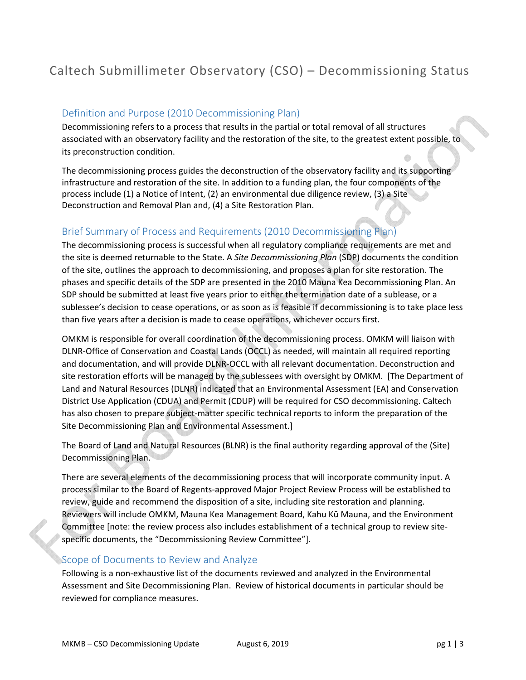# Caltech Submillimeter Observatory (CSO) – Decommissioning Status

## Definition and Purpose (2010 Decommissioning Plan)

Decommissioning refers to a process that results in the partial or total removal of all structures associated with an observatory facility and the restoration of the site, to the greatest extent possible, to its preconstruction condition.

The decommissioning process guides the deconstruction of the observatory facility and its supporting infrastructure and restoration of the site. In addition to a funding plan, the four components of the process include (1) a Notice of Intent, (2) an environmental due diligence review, (3) a Site Deconstruction and Removal Plan and, (4) a Site Restoration Plan.

# Brief Summary of Process and Requirements (2010 Decommissioning Plan)

The decommissioning process is successful when all regulatory compliance requirements are met and the site is deemed returnable to the State. A *Site Decommissioning Plan* (SDP) documents the condition of the site, outlines the approach to decommissioning, and proposes a plan for site restoration. The phases and specific details of the SDP are presented in the 2010 Mauna Kea Decommissioning Plan. An SDP should be submitted at least five years prior to either the termination date of a sublease, or a sublessee's decision to cease operations, or as soon as is feasible if decommissioning is to take place less than five years after a decision is made to cease operations, whichever occurs first.

OMKM is responsible for overall coordination of the decommissioning process. OMKM will liaison with DLNR‐Office of Conservation and Coastal Lands (OCCL) as needed, will maintain all required reporting and documentation, and will provide DLNR‐OCCL with all relevant documentation. Deconstruction and site restoration efforts will be managed by the sublessees with oversight by OMKM. [The Department of Land and Natural Resources (DLNR) indicated that an Environmental Assessment (EA) and Conservation District Use Application (CDUA) and Permit (CDUP) will be required for CSO decommissioning. Caltech has also chosen to prepare subject-matter specific technical reports to inform the preparation of the Site Decommissioning Plan and Environmental Assessment.]

The Board of Land and Natural Resources (BLNR) is the final authority regarding approval of the (Site) Decommissioning Plan.

There are several elements of the decommissioning process that will incorporate community input. A process similar to the Board of Regents‐approved Major Project Review Process will be established to review, guide and recommend the disposition of a site, including site restoration and planning. Reviewers will include OMKM, Mauna Kea Management Board, Kahu Kū Mauna, and the Environment Committee [note: the review process also includes establishment of a technical group to review site‐ specific documents, the "Decommissioning Review Committee"].

#### Scope of Documents to Review and Analyze

Following is a non‐exhaustive list of the documents reviewed and analyzed in the Environmental Assessment and Site Decommissioning Plan. Review of historical documents in particular should be reviewed for compliance measures.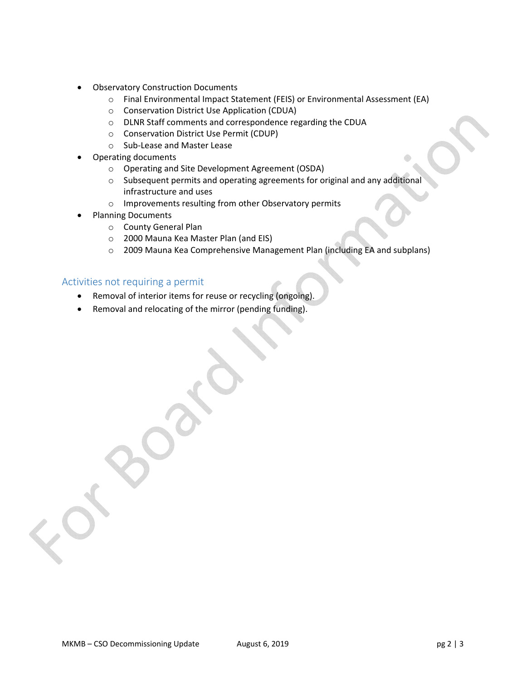- Observatory Construction Documents
	- o Final Environmental Impact Statement (FEIS) or Environmental Assessment (EA)
	- o Conservation District Use Application (CDUA)
	- o DLNR Staff comments and correspondence regarding the CDUA
	- o Conservation District Use Permit (CDUP)
	- o Sub‐Lease and Master Lease
- Operating documents
	- o Operating and Site Development Agreement (OSDA)
	- o Subsequent permits and operating agreements for original and any additional infrastructure and uses
	- o Improvements resulting from other Observatory permits
- Planning Documents
	- o County General Plan
	- o 2000 Mauna Kea Master Plan (and EIS)
	- o 2009 Mauna Kea Comprehensive Management Plan (including EA and subplans)

## Activities not requiring a permit

- Removal of interior items for reuse or recycling (ongoing).
- Removal and relocating of the mirror (pending funding).